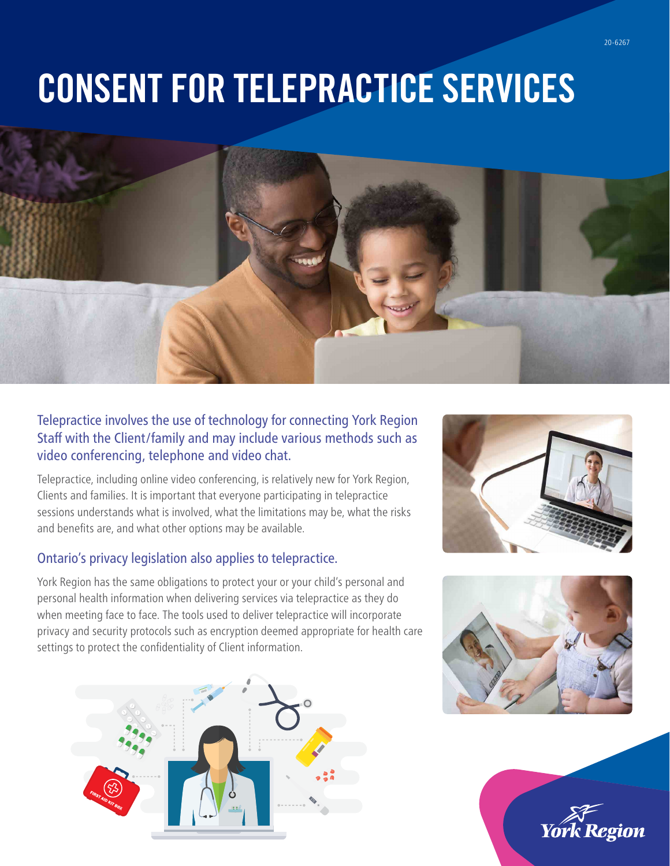# CONSENT FOR TELEPRACTICE SERVICES



### Telepractice involves the use of technology for connecting York Region Staff with the Client/family and may include various methods such as video conferencing, telephone and video chat.

Telepractice, including online video conferencing, is relatively new for York Region, Clients and families. It is important that everyone participating in telepractice sessions understands what is involved, what the limitations may be, what the risks and benefits are, and what other options may be available.

### Ontario's privacy legislation also applies to telepractice.

York Region has the same obligations to protect your or your child's personal and personal health information when delivering services via telepractice as they do when meeting face to face. The tools used to deliver telepractice will incorporate privacy and security protocols such as encryption deemed appropriate for health care settings to protect the confidentiality of Client information.







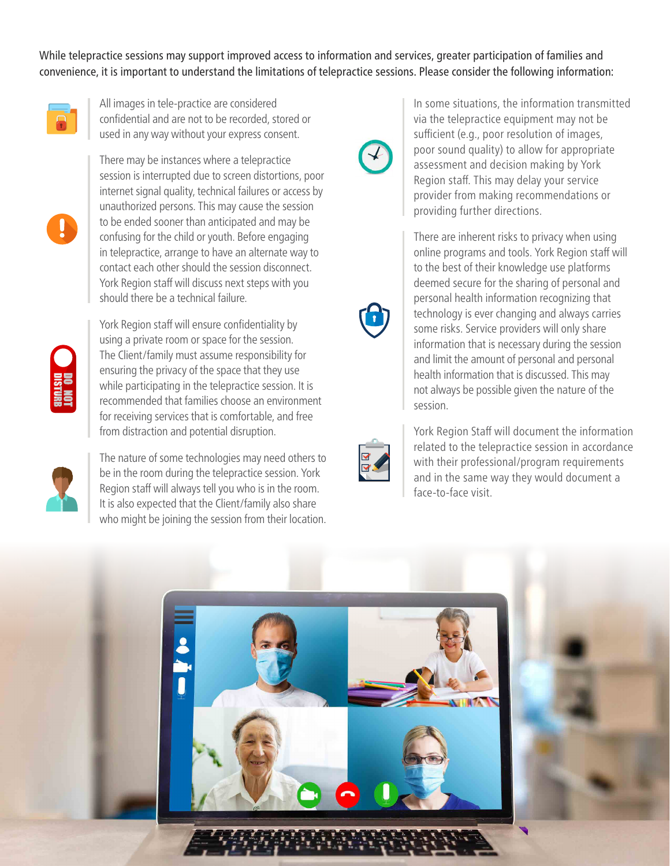While telepractice sessions may support improved access to information and services, greater participation of families and convenience, it is important to understand the limitations of telepractice sessions. Please consider the following information:



All images in tele-practice are considered confidential and are not to be recorded, stored or used in any way without your express consent.



There may be instances where a telepractice session is interrupted due to screen distortions, poor internet signal quality, technical failures or access by unauthorized persons. This may cause the session to be ended sooner than anticipated and may be confusing for the child or youth. Before engaging in telepractice, arrange to have an alternate way to contact each other should the session disconnect. York Region staff will discuss next steps with you should there be a technical failure.



York Region staff will ensure confidentiality by using a private room or space for the session. The Client/family must assume responsibility for ensuring the privacy of the space that they use while participating in the telepractice session. It is recommended that families choose an environment for receiving services that is comfortable, and free from distraction and potential disruption.



The nature of some technologies may need others to be in the room during the telepractice session. York Region staff will always tell you who is in the room. It is also expected that the Client/family also share who might be joining the session from their location.



In some situations, the information transmitted via the telepractice equipment may not be sufficient (e.g., poor resolution of images, poor sound quality) to allow for appropriate assessment and decision making by York Region staff. This may delay your service provider from making recommendations or providing further directions.

There are inherent risks to privacy when using online programs and tools. York Region staff will to the best of their knowledge use platforms deemed secure for the sharing of personal and personal health information recognizing that technology is ever changing and always carries some risks. Service providers will only share information that is necessary during the session and limit the amount of personal and personal health information that is discussed. This may not always be possible given the nature of the session.



York Region Staff will document the information related to the telepractice session in accordance with their professional/program requirements and in the same way they would document a face-to-face visit.